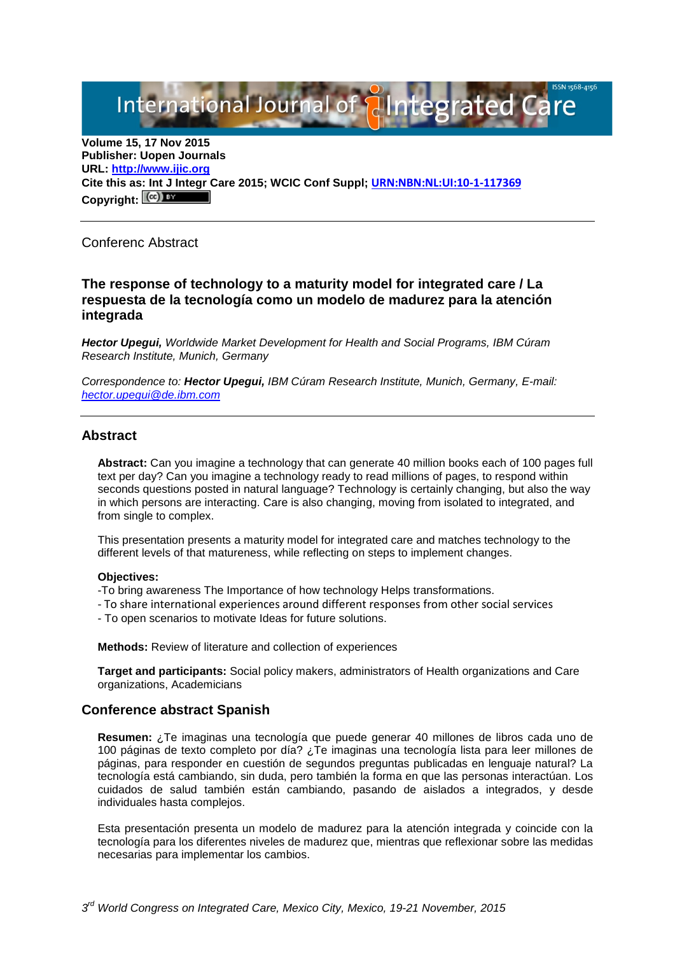International Journal of **Plantegrated Care** 

**Volume 15, 17 Nov 2015 Publisher: Uopen Journals URL: [http://www.ijic.org](http://www.ijic.org/) Cite this as: Int J Integr Care 2015; WCIC Conf Suppl; [URN:NBN:NL:UI:10-1-117369](http://persistent-identifier.nl/?identifier=URN:NBN:NL:UI:10-1-117369)** Copyright:  $(cc)$ 

Conferenc Abstract

# **The response of technology to a maturity model for integrated care / La respuesta de la tecnología como un modelo de madurez para la atención integrada**

*Hector Upegui, Worldwide Market Development for Health and Social Programs, IBM Cúram Research Institute, Munich, Germany*

*Correspondence to: Hector Upegui, IBM Cúram Research Institute, Munich, Germany, E-mail: [hector.upegui@de.ibm.com](mailto:hector.upegui@de.ibm.com)*

## **Abstract**

**Abstract:** Can you imagine a technology that can generate 40 million books each of 100 pages full text per day? Can you imagine a technology ready to read millions of pages, to respond within seconds questions posted in natural language? Technology is certainly changing, but also the way in which persons are interacting. Care is also changing, moving from isolated to integrated, and from single to complex.

This presentation presents a maturity model for integrated care and matches technology to the different levels of that matureness, while reflecting on steps to implement changes.

#### **Objectives:**

-To bring awareness The Importance of how technology Helps transformations.

- To share international experiences around different responses from other social services
- To open scenarios to motivate Ideas for future solutions.

**Methods:** Review of literature and collection of experiences

**Target and participants:** Social policy makers, administrators of Health organizations and Care organizations, Academicians

# **Conference abstract Spanish**

**Resumen:** ¿Te imaginas una tecnología que puede generar 40 millones de libros cada uno de 100 páginas de texto completo por día? ¿Te imaginas una tecnología lista para leer millones de páginas, para responder en cuestión de segundos preguntas publicadas en lenguaje natural? La tecnología está cambiando, sin duda, pero también la forma en que las personas interactúan. Los cuidados de salud también están cambiando, pasando de aislados a integrados, y desde individuales hasta complejos.

Esta presentación presenta un modelo de madurez para la atención integrada y coincide con la tecnología para los diferentes niveles de madurez que, mientras que reflexionar sobre las medidas necesarias para implementar los cambios.